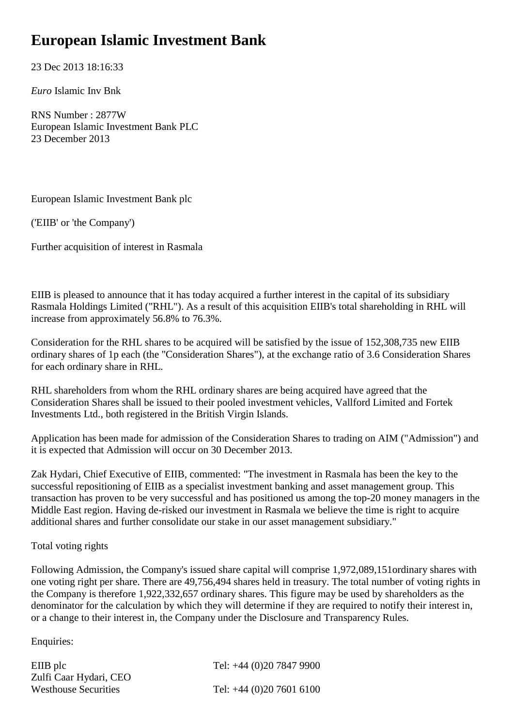## **European Islamic Investment Bank**

23 Dec 2013 18:16:33

*Euro* Islamic Inv Bnk

RNS Number : 2877W European Islamic Investment Bank PLC 23 December 2013

European Islamic Investment Bank plc

('EIIB' or 'the Company')

Further acquisition of interest in Rasmala

EIIB is pleased to announce that it has today acquired a further interest in the capital of its subsidiary Rasmala Holdings Limited ("RHL"). As a result of this acquisition EIIB's total shareholding in RHL will increase from approximately 56.8% to 76.3%.

Consideration for the RHL shares to be acquired will be satisfied by the issue of 152,308,735 new EIIB ordinary shares of 1p each (the "Consideration Shares"), at the exchange ratio of 3.6 Consideration Shares for each ordinary share in RHL.

RHL shareholders from whom the RHL ordinary shares are being acquired have agreed that the Consideration Shares shall be issued to their pooled investment vehicles, Vallford Limited and Fortek Investments Ltd.*,* both registered in the British Virgin Islands.

Application has been made for admission of the Consideration Shares to trading on AIM ("Admission") and it is expected that Admission will occur on 30 December 2013.

Zak Hydari, Chief Executive of EIIB, commented: "The investment in Rasmala has been the key to the successful repositioning of EIIB as a specialist investment banking and asset management group. This transaction has proven to be very successful and has positioned us among the top-20 money managers in the Middle East region. Having de-risked our investment in Rasmala we believe the time is right to acquire additional shares and further consolidate our stake in our asset management subsidiary."

## Total voting rights

Following Admission, the Company's issued share capital will comprise 1,972,089,151ordinary shares with one voting right per share. There are 49,756,494 shares held in treasury. The total number of voting rights in the Company is therefore 1,922,332,657 ordinary shares. This figure may be used by shareholders as the denominator for the calculation by which they will determine if they are required to notify their interest in, or a change to their interest in, the Company under the Disclosure and Transparency Rules.

Enquiries:

| EIIB plc                    | Tel: +44 (0)20 7847 9900   |
|-----------------------------|----------------------------|
| Zulfi Caar Hydari, CEO      |                            |
| <b>Westhouse Securities</b> | Tel: $+44$ (0)20 7601 6100 |